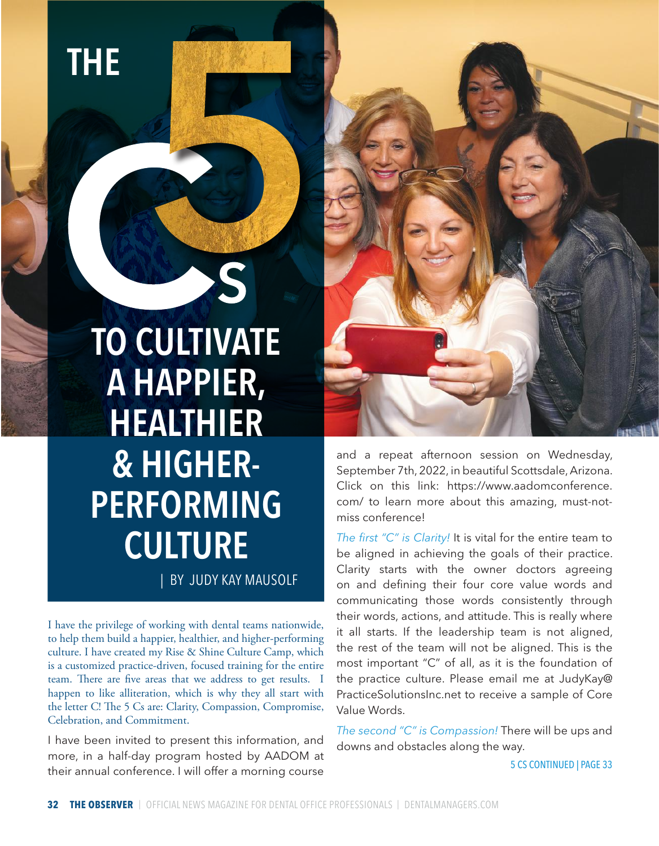THE

| BY JUDY KAY MAUSOLF TO CULTIVATE A HAPPIER, HEALTHIER & HIGHER-PERFORMING **CULTURE** 

S

I have the privilege of working with dental teams nationwide, to help them build a happier, healthier, and higher-performing culture. I have created my Rise & Shine Culture Camp, which is a customized practice-driven, focused training for the entire team. There are five areas that we address to get results. I happen to like alliteration, which is why they all start with the letter C! The 5 Cs are: Clarity, Compassion, Compromise, Celebration, and Commitment.

I have been invited to present this information, and more, in a half-day program hosted by AADOM at their annual conference. I will offer a morning course



and a repeat afternoon session on Wednesday, September 7th, 2022, in beautiful Scottsdale, Arizona. Click on this link: https://www.aadomconference. com/ to learn more about this amazing, must-notmiss conference!

*The first "C" is Clarity!* It is vital for the entire team to be aligned in achieving the goals of their practice. Clarity starts with the owner doctors agreeing on and defining their four core value words and communicating those words consistently through their words, actions, and attitude. This is really where it all starts. If the leadership team is not aligned, the rest of the team will not be aligned. This is the most important "C" of all, as it is the foundation of the practice culture. Please email me at JudyKay@ PracticeSolutionsInc.net to receive a sample of Core Value Words.

*The second "C" is Compassion!* There will be ups and downs and obstacles along the way.

5 CS CONTINUED | PAGE 33